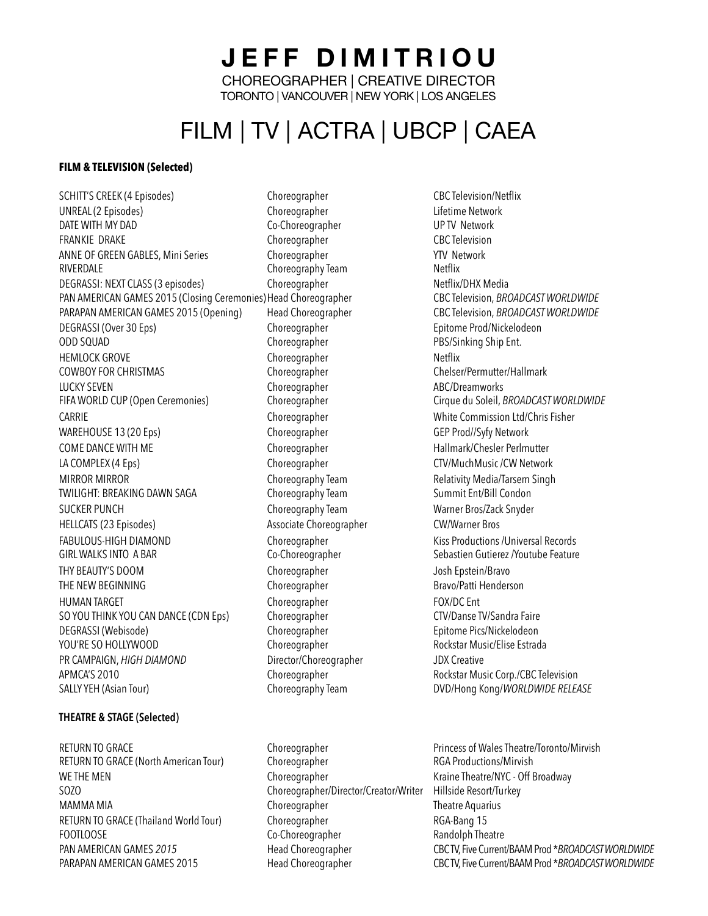**JEFF DIMITRIOU**  CHOREOGRAPHER | CREATIVE DIRECTOR TORONTO | VANCOUVER | NEW YORK | LOS ANGELES

# FILM | TV | ACTRA | UBCP | CAEA

## **FILM & TELEVISION (Selected)**

SCHITT'S CREEK (4 Episodes) Choreographer CBC Television/Netflix UNREAL (2 Episodes) Choreographer Lifetime Network FRANKIE DRAKE Choreographer CBC Television ANNE OF GREEN GABLES, Mini Series Choreographer The State of TV Network RIVERDALE **Choreography Team** Choreography Team Netflix DEGRASSI: NEXT CLASS (3 episodes) Choreographer Netflix/DHX Media PAN AMERICAN GAMES 2015 (Closing Ceremonies) Head Choreographer CBC Television, *BROADCAST WORLDWIDE* PARAPAN AMERICAN GAMES 2015 (Opening) Head Choreographer CBC Television, *BROADCAST WORLDWIDE* DEGRASSI (Over 30 Eps) The Choreographer Choreographer Epitome Prod/Nickelodeon ODD SQUAD Choreographer PBS/Sinking Ship Ent. HEMLOCK GROVE Choreographer Choreographer Netflix COWBOY FOR CHRISTMAS Choreographer Chelser/Permutter/Hallmark LUCKY SEVEN Choreographer ABC/Dreamworks FIFA WORLD CUP (Open Ceremonies) Choreographer Cirque du Soleil, *BROADCAST WORLDWIDE* CARRIE Choreographer White Commission Ltd/Chris Fisher WAREHOUSE 13 (20 Eps) Choreographer Choreographer GEP Prod//Syfy Network COME DANCE WITH ME **Choreographer** Choreographer **Hallmark/Chesler Perlmutter Hallmark/Chesler Perlmutter** LA COMPLEX (4 Eps) The Choreographer CTV/MuchMusic /CW Network MIRROR MIRROR Choreography Team Relativity Media/Tarsem Singh TWILIGHT: BREAKING DAWN SAGA Choreography Team Summit Ent/Bill Condon SUCKER PUNCH Choreography Team Warner Bros/Zack Snyder HELLCATS (23 Episodes) Associate Choreographer CW/Warner Bros FABULOUS-HIGH DIAMOND **Choreographer** Choreographer Kiss Productions /Universal Records GIRL WALKS INTO A BAR Co-Choreographer Sebastien Gutierez /Youtube Feature THY BEAUTY'S DOOM Choreographer Josh Epstein/Bravo THE NEW BEGINNING THE REGINING Choreographer Choreographer Bravo/Patti Henderson HUMAN TARGET THE Choreographer Choreographer FOX/DC Ent SO YOU THINK YOU CAN DANCE (CDN Eps) Choreographer CTV/Danse TV/Sandra Faire DEGRASSI (Webisode) Choreographer Epitome Pics/Nickelodeon YOU'RE SO HOLLYWOOD Choreographer Choreographer Rockstar Music/Elise Estrada PR CAMPAIGN, *HIGH DIAMOND* Director/Choreographer JDX Creative APMCA'S 2010 **Choreographer Rockstar Music Corp./CBC Television** Choreographer Rockstar Music Corp./CBC Television SALLY YEH (Asian Tour) Choreography Team DVD/Hong Kong/*WORLDWIDE RELEASE*

### **THEATRE & STAGE (Selected)**

RETURN TO GRACE (North American Tour) Choreographer RGA Productions/Mirvish WE THE MEN Choreographer Choreographer Kraine Theatre/NYC - Off Broadway SOZO Choreographer/Director/Creator/Writer Hillside Resort/Turkey MAMMA MIA Choreographer Theatre Aquarius RETURN TO GRACE (Thailand World Tour) Choreographer RGA-Bang 15 FOOTLOOSE Co-Choreographer Co-Choreographer Randolph Theatre

Co-Choreographer

RETURN TO GRACE Choreographer Choreographer Princess of Wales Theatre/Toronto/Mirvish PAN AMERICAN GAMES 2015 Head Choreographer CBC TV, Five Current/BAAM Prod \**BROADCAST WORLDWIDE* PARAPAN AMERICAN GAMES 2015 Head Choreographer CBC TV, Five Current/BAAM Prod \**BROADCAST WORLDWIDE*